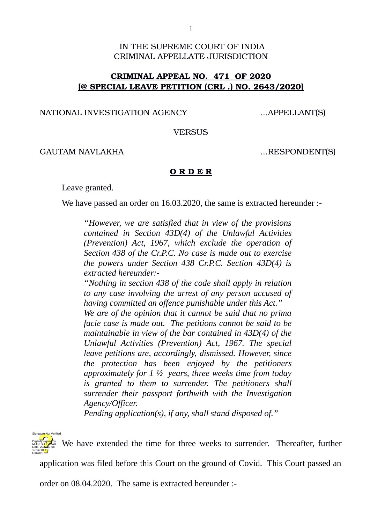IN THE SUPREME COURT OF INDIA CRIMINAL APPELLATE JURISDICTION

## **CRIMINAL APPEAL NO. 471 OF 2020 [@ SPECIAL LEAVE PETITION (CRL .) NO. 2643/2020]**

NATIONAL INVESTIGATION AGENCY ....APPELLANT(S)

## **VERSUS**

## GAUTAM NAVLAKHA ...RESPONDENT(S)

## **O R D E R**

Leave granted.

We have passed an order on 16.03.2020, the same is extracted hereunder :-

*"However, we are satisfied that in view of the provisions contained in Section 43D(4) of the Unlawful Activities (Prevention) Act, 1967, which exclude the operation of Section 438 of the Cr.P.C. No case is made out to exercise the powers under Section 438 Cr.P.C. Section 43D(4) is extracted hereunder:-*

*"Nothing in section 438 of the code shall apply in relation to any case involving the arrest of any person accused of having committed an offence punishable under this Act."*

*We are of the opinion that it cannot be said that no prima facie case is made out. The petitions cannot be said to be maintainable in view of the bar contained in 43D(4) of the Unlawful Activities (Prevention) Act, 1967. The special leave petitions are, accordingly, dismissed. However, since the protection has been enjoyed by the petitioners approximately for 1 ½ years, three weeks time from today is granted to them to surrender. The petitioners shall surrender their passport forthwith with the Investigation Agency/Officer.* 

*Pending application(s), if any, shall stand disposed of."*

We have extended the time for three weeks to surrender. Thereafter, further Digitally signed by MÜKESH <mark>KU</mark>MAR Date: 2020.07.06 17:54:10<sup>1ST</sup> Reason: Signature Not Verified

application was filed before this Court on the ground of Covid. This Court passed an

order on 08.04.2020. The same is extracted hereunder :-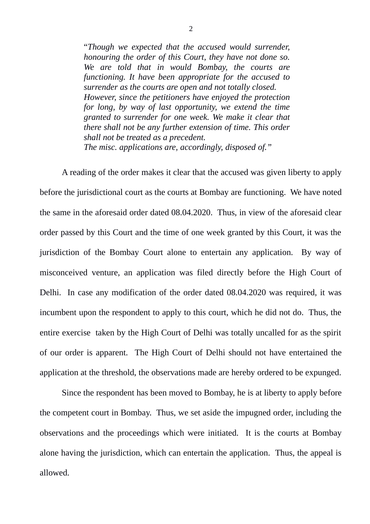"*Though we expected that the accused would surrender, honouring the order of this Court, they have not done so. We are told that in would Bombay, the courts are functioning. It have been appropriate for the accused to surrender as the courts are open and not totally closed. However, since the petitioners have enjoyed the protection for long, by way of last opportunity, we extend the time granted to surrender for one week. We make it clear that there shall not be any further extension of time. This order shall not be treated as a precedent. The misc. applications are, accordingly, disposed of."*

A reading of the order makes it clear that the accused was given liberty to apply before the jurisdictional court as the courts at Bombay are functioning. We have noted the same in the aforesaid order dated 08.04.2020. Thus, in view of the aforesaid clear order passed by this Court and the time of one week granted by this Court, it was the jurisdiction of the Bombay Court alone to entertain any application. By way of misconceived venture, an application was filed directly before the High Court of Delhi. In case any modification of the order dated 08.04.2020 was required, it was incumbent upon the respondent to apply to this court, which he did not do. Thus, the entire exercise taken by the High Court of Delhi was totally uncalled for as the spirit of our order is apparent. The High Court of Delhi should not have entertained the application at the threshold, the observations made are hereby ordered to be expunged.

Since the respondent has been moved to Bombay, he is at liberty to apply before the competent court in Bombay. Thus, we set aside the impugned order, including the observations and the proceedings which were initiated. It is the courts at Bombay alone having the jurisdiction, which can entertain the application. Thus, the appeal is allowed.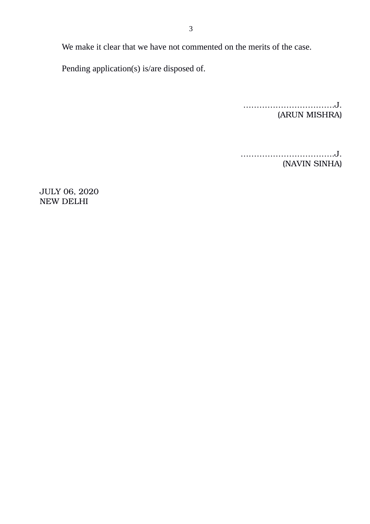We make it clear that we have not commented on the merits of the case.

Pending application(s) is/are disposed of.

…………………………….J. (ARUN MISHRA)

……………………………..J. (NAVIN SINHA)

JULY 06, 2020 NEW DELHI